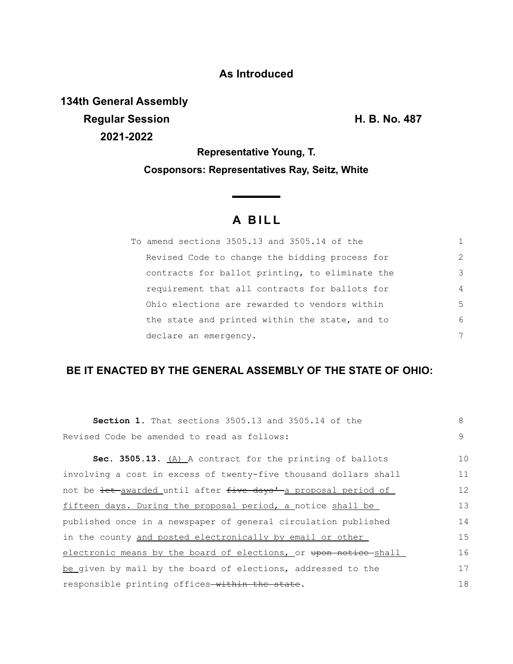## **As Introduced**

**134th General Assembly Regular Session H. B. No. 487 2021-2022**

**Representative Young, T. Cosponsors: Representatives Ray, Seitz, White**

## **A B I L L**

<u> The Common State State Sta</u>te

| To amend sections 3505.13 and 3505.14 of the    |                |
|-------------------------------------------------|----------------|
| Revised Code to change the bidding process for  | $\mathcal{L}$  |
| contracts for ballot printing, to eliminate the | 3              |
| requirement that all contracts for ballots for  | $\overline{4}$ |
| Ohio elections are rewarded to vendors within   | 5              |
| the state and printed within the state, and to  | 6              |
| declare an emergency.                           | 7              |

## **BE IT ENACTED BY THE GENERAL ASSEMBLY OF THE STATE OF OHIO:**

| <b>Section 1.</b> That sections 3505.13 and 3505.14 of the       | 8  |  |
|------------------------------------------------------------------|----|--|
| Revised Code be amended to read as follows:                      |    |  |
| Sec. 3505.13. (A) A contract for the printing of ballots         | 10 |  |
| involving a cost in excess of twenty-five thousand dollars shall | 11 |  |
| not be let awarded until after five days' a proposal period of   | 12 |  |
| fifteen days. During the proposal period, a notice shall be      | 13 |  |
| published once in a newspaper of general circulation published   |    |  |
| in the county and posted electronically by email or other        | 15 |  |
| electronic means by the board of elections, or upon notice shall | 16 |  |
| be given by mail by the board of elections, addressed to the     | 17 |  |
| responsible printing offices-within the state.                   | 18 |  |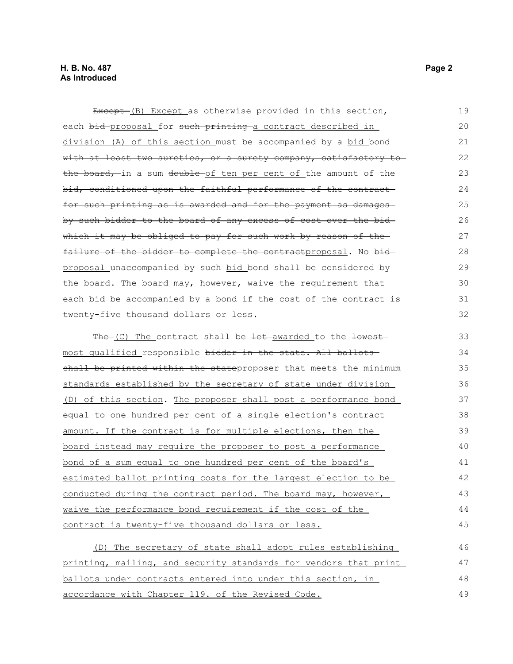Except (B) Except as otherwise provided in this section, each bid proposal for such printing a contract described in division (A) of this section must be accompanied by a bid bond with at least two sureties, or a surety company, satisfactory tothe board, in a sum double of ten per cent of the amount of the bid, conditioned upon the faithful performance of the contractfor such printing as is awarded and for the payment as damages by such bidder to the board of any excess of cost over the bid which it may be obliged to pay for such work by reason of thefailure of the bidder to complete the contractproposal. No bidproposal unaccompanied by such bid bond shall be considered by the board. The board may, however, waive the requirement that each bid be accompanied by a bond if the cost of the contract is twenty-five thousand dollars or less. The (C) The contract shall be let awarded to the lowest most qualified responsible bidder in the state. All ballots shall be printed within the stateproposer that meets the minimum standards established by the secretary of state under division (D) of this section. The proposer shall post a performance bond equal to one hundred per cent of a single election's contract amount. If the contract is for multiple elections, then the board instead may require the proposer to post a performance bond of a sum equal to one hundred per cent of the board's estimated ballot printing costs for the largest election to be conducted during the contract period. The board may, however, waive the performance bond requirement if the cost of the contract is twenty-five thousand dollars or less. (D) The secretary of state shall adopt rules establishing printing, mailing, and security standards for vendors that print ballots under contracts entered into under this section, in 19 20 21 22 23 24 25 26 27 28 29 30 31 32 33 34 35 36 37 38 39 40 41 42 43 44 45 46 47 48

accordance with Chapter 119. of the Revised Code.

49